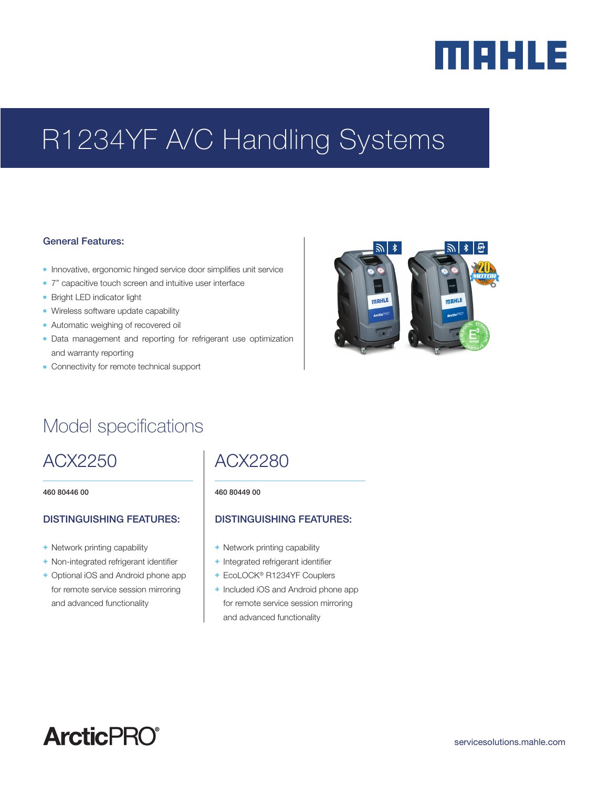# merus

## R1234YF A/C Handling Systems

#### General Features:

- **n** Innovative, ergonomic hinged service door simplifies unit service
- 7" capacitive touch screen and intuitive user interface
- **Bright LED indicator light**
- **Nireless software update capability**
- **Automatic weighing of recovered oil**
- **-** Data management and reporting for refrigerant use optimization and warranty reporting
- **-** Connectivity for remote technical support



## Model specifications

## ACX2250

460 80446 00

#### DISTINGUISHING FEATURES:

- + Network printing capability
- + Non-integrated refrigerant identifier
- + Optional iOS and Android phone app for remote service session mirroring and advanced functionality

## ACX2280

#### 460 80449 00

### DISTINGUISHING FEATURES:

- + Network printing capability
- + Integrated refrigerant identifier
- + EcoLOCK® R1234YF Couplers
- + Included iOS and Android phone app for remote service session mirroring and advanced functionality